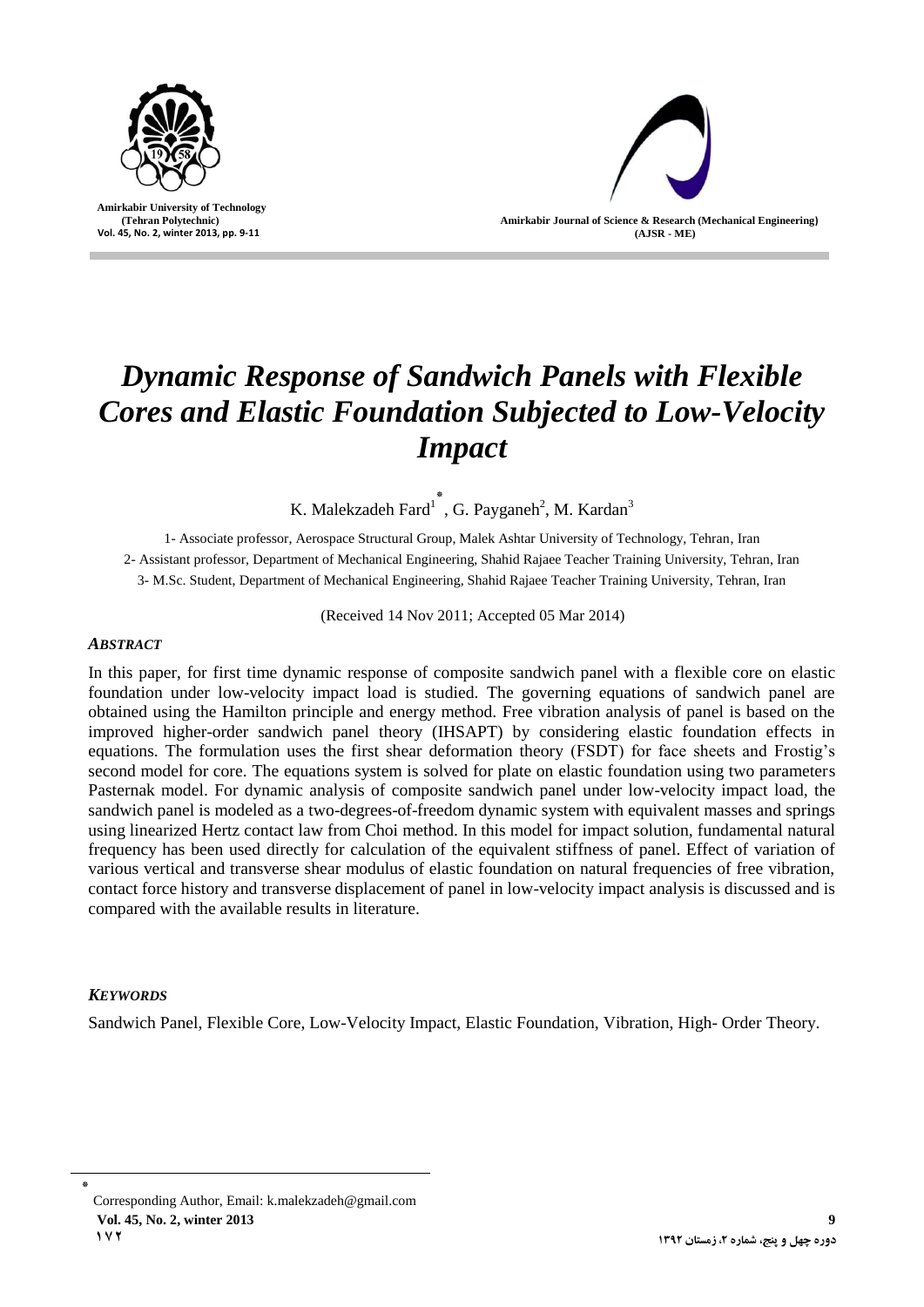

 **Amirkabir University of Technology (Tehran Polytechnic) Vol. 45, No. 2, winter 2013, pp. 9-11**



# *Dynamic Response of Sandwich Panels with Flexible Cores and Elastic Foundation Subjected to Low-Velocity Impact*

K. Malekzadeh Fard<sup>1</sup>, G. Payganeh<sup>2</sup>, M. Kardan<sup>3</sup>

1- Associate professor, Aerospace Structural Group, Malek Ashtar University of Technology, Tehran, Iran 2- Assistant professor, Department of Mechanical Engineering, Shahid Rajaee Teacher Training University, Tehran, Iran 3- M.Sc. Student, Department of Mechanical Engineering, Shahid Rajaee Teacher Training University, Tehran, Iran

(Received 14 Nov 2011; Accepted 05 Mar 2014)

## *ABSTRACT*

In this paper, for first time dynamic response of composite sandwich panel with a flexible core on elastic foundation under low-velocity impact load is studied. The governing equations of sandwich panel are obtained using the Hamilton principle and energy method. Free vibration analysis of panel is based on the improved higher-order sandwich panel theory (IHSAPT) by considering elastic foundation effects in equations. The formulation uses the first shear deformation theory (FSDT) for face sheets and Frostig's second model for core. The equations system is solved for plate on elastic foundation using two parameters Pasternak model. For dynamic analysis of composite sandwich panel under low-velocity impact load, the sandwich panel is modeled as a two-degrees-of-freedom dynamic system with equivalent masses and springs using linearized Hertz contact law from Choi method. In this model for impact solution, fundamental natural frequency has been used directly for calculation of the equivalent stiffness of panel. Effect of variation of various vertical and transverse shear modulus of elastic foundation on natural frequencies of free vibration, contact force history and transverse displacement of panel in low-velocity impact analysis is discussed and is compared with the available results in literature.

## *KEYWORDS*

Sandwich Panel, Flexible Core, Low-Velocity Impact, Elastic Foundation, Vibration, High- Order Theory.

٭ Corresponding Author, Email: [k.malekzadeh@gmail.com](mailto:k.malekzadeh@gmail.com) **Vol. 45, No. 2, winter 2013 9 172**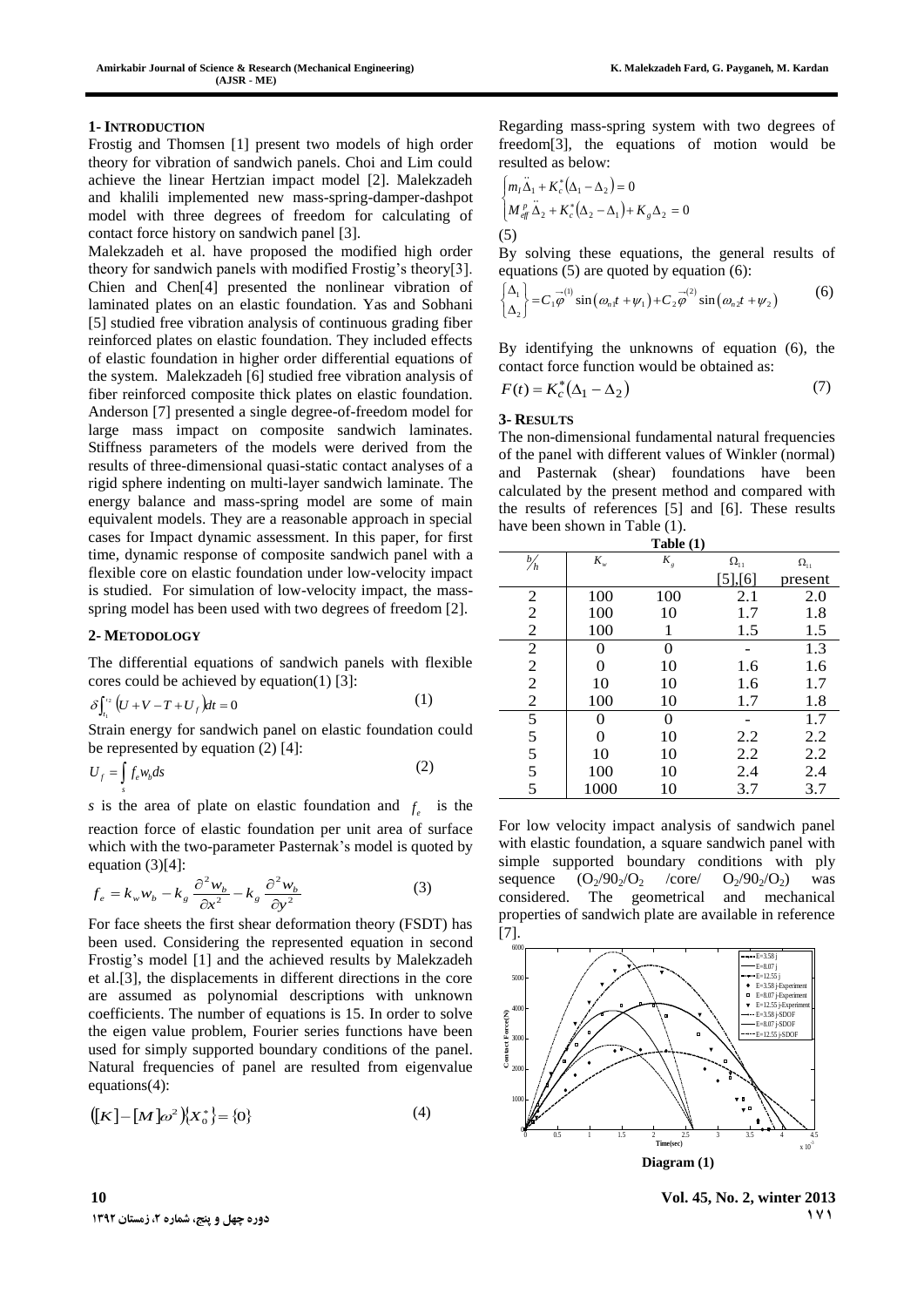### **1- INTRODUCTION**

Frostig and Thomsen [1] present two models of high order theory for vibration of sandwich panels. Choi and Lim could achieve the linear Hertzian impact model [2]. Malekzadeh and khalili implemented new mass-spring-damper-dashpot model with three degrees of freedom for calculating of contact force history on sandwich panel [3].

Malekzadeh et al. have proposed the modified high order theory for sandwich panels with modified Frostig's theory[3]. Chien and Chen[4] presented the nonlinear vibration of laminated plates on an elastic foundation. Yas and Sobhani [5] studied free vibration analysis of continuous grading fiber reinforced plates on elastic foundation. They included effects of elastic foundation in higher order differential equations of the system. Malekzadeh [6] studied free vibration analysis of fiber reinforced composite thick plates on elastic foundation. Anderson [7] presented a single degree-of-freedom model for large mass impact on composite sandwich laminates. Stiffness parameters of the models were derived from the results of three-dimensional quasi-static contact analyses of a rigid sphere indenting on multi-layer sandwich laminate. The energy balance and mass-spring model are some of main equivalent models. They are a reasonable approach in special cases for Impact dynamic assessment. In this paper, for first time, dynamic response of composite sandwich panel with a flexible core on elastic foundation under low-velocity impact is studied. For simulation of low-velocity impact, the massspring model has been used with two degrees of freedom [2].

### **2- METODOLOGY**

1

*s*

The differential equations of sandwich panels with flexible cores could be achieved by equation(1) [3]:

$$
\delta \int_{t_1}^{t_2} \left( U + V - T + U_f \right) dt = 0 \tag{1}
$$

 $S$ train energy for sandwich panel on elastic foundation could be represented by equation (2) [4]:

$$
U_f = \int f_e w_b ds \tag{2}
$$

*s* is the area of plate on elastic foundation and  $f_e$  is the reaction force of elastic foundation per unit area of surface which with the two-parameter Pasternak's model is quoted by equation  $(3)[4]$ :

$$
f_e = k_w w_b - k_g \frac{\partial^2 w_b}{\partial x^2} - k_g \frac{\partial^2 w_b}{\partial y^2}
$$
 (3)

For face sheets the first shear deformation theory (FSDT) has been used. Considering the represented equation in second Frostig's model [1] and the achieved results by Malekzadeh et al.[3], the displacements in different directions in the core are assumed as polynomial descriptions with unknown coefficients. The number of equations is 15. In order to solve the eigen value problem, Fourier series functions have been used for simply supported boundary conditions of the panel. Natural frequencies of panel are resulted from eigenvalue equations(4):

$$
([K] - [M]\omega^2)(X_0^*) = \{0\}
$$
 (4)

Regarding mass-spring system with two degrees of freedom[3], the equations of motion would be resulted as below:

$$
\begin{cases} m_I \ddot{\Delta}_1 + K_c^* (\Delta_1 - \Delta_2) = 0 \\ M_{\text{eff}}^P \ddot{\Delta}_2 + K_c^* (\Delta_2 - \Delta_1) + K_g \Delta_2 = 0 \end{cases}
$$
  
(5)

By solving these equations, the general results of equations (5) are quoted by equation (6):  
\n
$$
\begin{cases}\n\Delta_1 \\
\Delta_2\n\end{cases} = C_1 \overline{\phi}^{(1)} \sin(\omega_n t + \psi_1) + C_2 \overline{\phi}^{(2)} \sin(\omega_n t + \psi_2)
$$
\n(6)

By identifying the unknowns of equation (6), the contact force function would be obtained as:

$$
F(t) = K_c^* \left( \Delta_1 - \Delta_2 \right) \tag{7}
$$

#### **3- RESULTS**

The non-dimensional fundamental natural frequencies of the panel with different values of Winkler (normal) and Pasternak (shear) foundations have been calculated by the present method and compared with the results of references [5] and [6]. These results have been shown in Table (1).

| Table $(1)$                                                  |         |       |               |               |
|--------------------------------------------------------------|---------|-------|---------------|---------------|
| $\frac{b}{h}$                                                | $K_{w}$ | $K_g$ | $\Omega_{11}$ | $\Omega_{11}$ |
|                                                              |         |       | [5],[6]       | present       |
| $\overline{\mathbf{c}}$                                      | 100     | 100   | 2.1           | 2.0           |
| $\mathbf 2$                                                  | 100     | 10    | 1.7           | 1.8           |
| $\overline{c}$                                               | 100     |       | 1.5           | 1.5           |
| $\overline{c}$                                               |         | 0     |               | 1.3           |
| $\overline{2}$                                               | 0       | 10    | 1.6           | 1.6           |
| $\overline{c}$                                               | 10      | 10    | 1.6           | 1.7           |
| $\mathfrak{2}% =\mathfrak{2}\left( \mathfrak{2}\right) ^{2}$ | 100     | 10    | 1.7           | 1.8           |
|                                                              |         | 0     |               | 1.7           |
| $\frac{5}{5}$                                                | 0       | 10    | 2.2           | 2.2           |
|                                                              | 10      | 10    | 2.2           | 2.2           |
| 5                                                            | 100     | 10    | 2.4           | 2.4           |
| 5                                                            | 1000    | 10    | 3.7           | 3.7           |

For low velocity impact analysis of sandwich panel with elastic foundation, a square sandwich panel with simple supported boundary conditions with ply sequence  $(O_2/90_2/O_2$  /core/  $O_2/90_2/O_2$  was considered. The geometrical and mechanical properties of sandwich plate are available in reference [7].



**10 Vol. 45, No. 2, winter 2013 171**